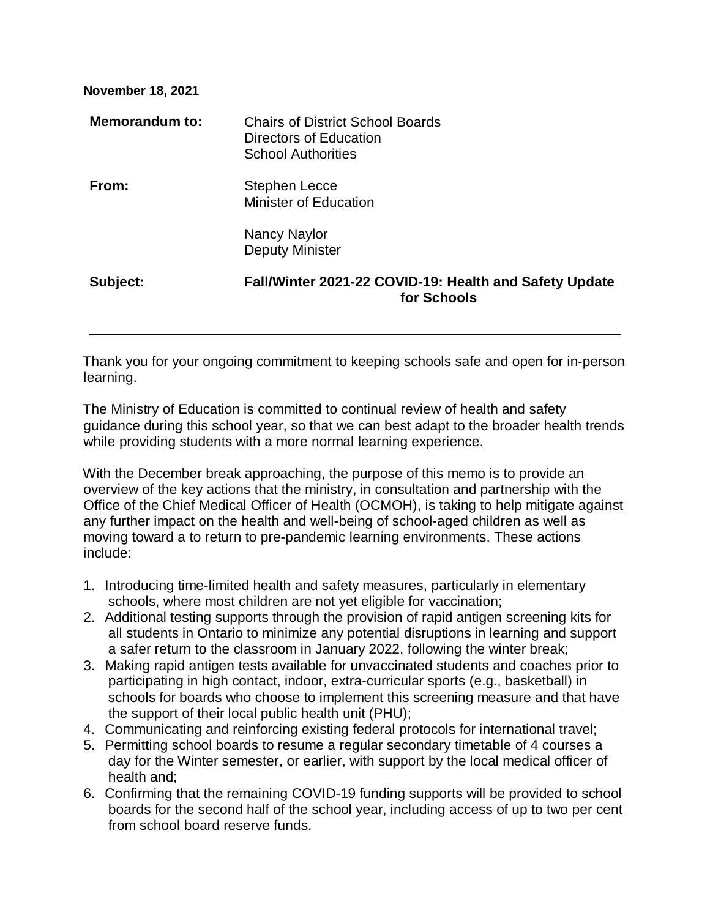| <b>Chairs of District School Boards</b><br>Directors of Education<br><b>School Authorities</b> |
|------------------------------------------------------------------------------------------------|
| <b>Stephen Lecce</b><br><b>Minister of Education</b>                                           |
| Nancy Naylor<br><b>Deputy Minister</b>                                                         |
| Fall/Winter 2021-22 COVID-19: Health and Safety Update<br>for Schools                          |
|                                                                                                |

Thank you for your ongoing commitment to keeping schools safe and open for in-person learning.

The Ministry of Education is committed to continual review of health and safety guidance during this school year, so that we can best adapt to the broader health trends while providing students with a more normal learning experience.

With the December break approaching, the purpose of this memo is to provide an overview of the key actions that the ministry, in consultation and partnership with the Office of the Chief Medical Officer of Health (OCMOH), is taking to help mitigate against any further impact on the health and well-being of school-aged children as well as moving toward a to return to pre-pandemic learning environments. These actions include:

- 1. Introducing time-limited health and safety measures, particularly in elementary schools, where most children are not yet eligible for vaccination;
- 2. Additional testing supports through the provision of rapid antigen screening kits for all students in Ontario to minimize any potential disruptions in learning and support a safer return to the classroom in January 2022, following the winter break;
- 3. Making rapid antigen tests available for unvaccinated students and coaches prior to participating in high contact, indoor, extra-curricular sports (e.g., basketball) in schools for boards who choose to implement this screening measure and that have the support of their local public health unit (PHU);
- 4. Communicating and reinforcing existing federal protocols for international travel;
- 5. Permitting school boards to resume a regular secondary timetable of 4 courses a day for the Winter semester, or earlier, with support by the local medical officer of health and;
- 6. Confirming that the remaining COVID-19 funding supports will be provided to school boards for the second half of the school year, including access of up to two per cent from school board reserve funds.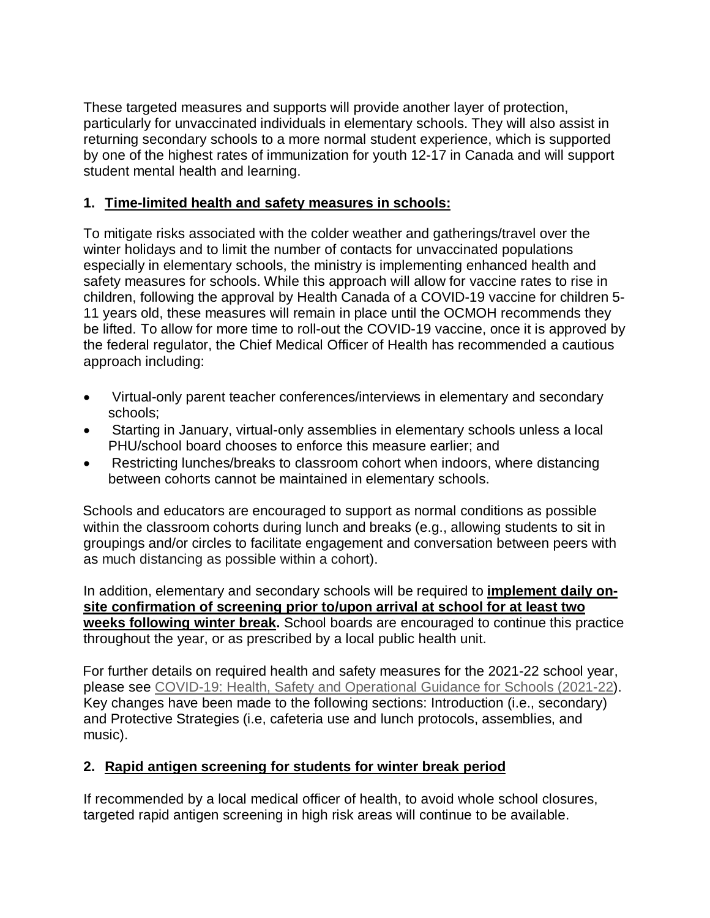These targeted measures and supports will provide another layer of protection, particularly for unvaccinated individuals in elementary schools. They will also assist in returning secondary schools to a more normal student experience, which is supported by one of the highest rates of immunization for youth 12-17 in Canada and will support student mental health and learning.

### **1. Time-limited health and safety measures in schools:**

To mitigate risks associated with the colder weather and gatherings/travel over the winter holidays and to limit the number of contacts for unvaccinated populations especially in elementary schools, the ministry is implementing enhanced health and safety measures for schools. While this approach will allow for vaccine rates to rise in children, following the approval by Health Canada of a COVID-19 vaccine for children 5- 11 years old, these measures will remain in place until the OCMOH recommends they be lifted. To allow for more time to roll-out the COVID-19 vaccine, once it is approved by the federal regulator, the Chief Medical Officer of Health has recommended a cautious approach including:

- Virtual-only parent teacher conferences/interviews in elementary and secondary schools;
- Starting in January, virtual-only assemblies in elementary schools unless a local PHU/school board chooses to enforce this measure earlier; and
- Restricting lunches/breaks to classroom cohort when indoors, where distancing between cohorts cannot be maintained in elementary schools.

Schools and educators are encouraged to support as normal conditions as possible within the classroom cohorts during lunch and breaks (e.g., allowing students to sit in groupings and/or circles to facilitate engagement and conversation between peers with as much distancing as possible within a cohort).

In addition, elementary and secondary schools will be required to **implement daily onsite confirmation of screening prior to/upon arrival at school for at least two weeks following winter break.** School boards are encouraged to continue this practice throughout the year, or as prescribed by a local public health unit.

For further details on required health and safety measures for the 2021-22 school year, please see [COVID-19: Health, Safety and Operational Guidance for Schools \(2021-22\)](https://www.ontario.ca/document/covid-19-health-safety-and-operational-guidance-schools-2021-2022). Key changes have been made to the following sections: Introduction (i.e., secondary) and Protective Strategies (i.e, cafeteria use and lunch protocols, assemblies, and music).

# **2. Rapid antigen screening for students for winter break period**

If recommended by a local medical officer of health, to avoid whole school closures, targeted rapid antigen screening in high risk areas will continue to be available.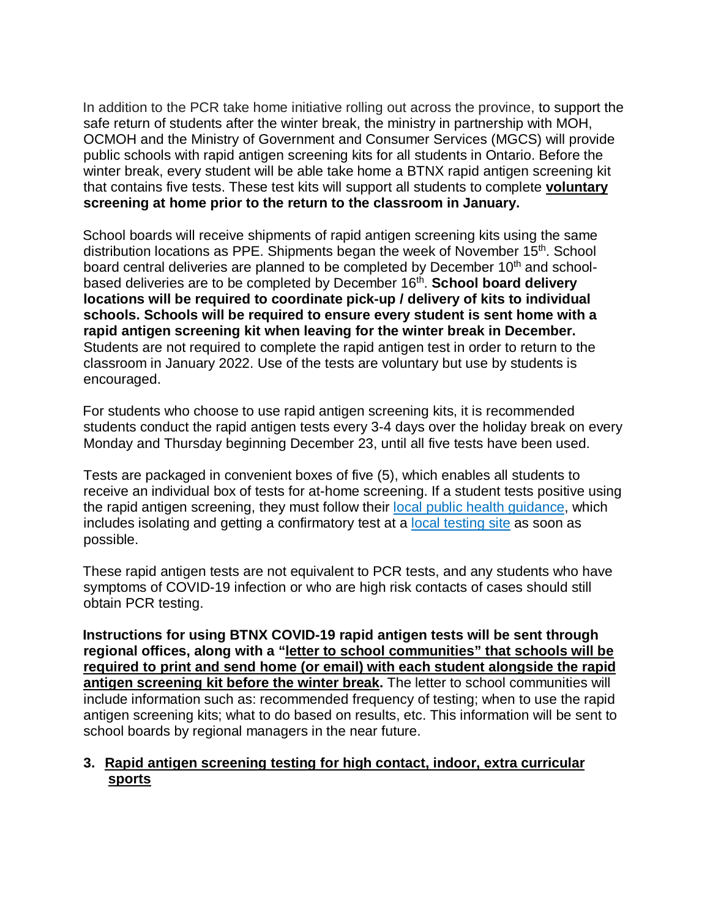In addition to the PCR take home initiative rolling out across the province, to support the safe return of students after the winter break, the ministry in partnership with MOH, OCMOH and the Ministry of Government and Consumer Services (MGCS) will provide public schools with rapid antigen screening kits for all students in Ontario. Before the winter break, every student will be able take home a BTNX rapid antigen screening kit that contains five tests. These test kits will support all students to complete **voluntary screening at home prior to the return to the classroom in January.**

School boards will receive shipments of rapid antigen screening kits using the same distribution locations as PPE. Shipments began the week of November 15<sup>th</sup>. School board central deliveries are planned to be completed by December 10<sup>th</sup> and schoolbased deliveries are to be completed by December 16th. **School board delivery locations will be required to coordinate pick-up / delivery of kits to individual schools. Schools will be required to ensure every student is sent home with a rapid antigen screening kit when leaving for the winter break in December.** Students are not required to complete the rapid antigen test in order to return to the classroom in January 2022. Use of the tests are voluntary but use by students is encouraged.

For students who choose to use rapid antigen screening kits, it is recommended students conduct the rapid antigen tests every 3-4 days over the holiday break on every Monday and Thursday beginning December 23, until all five tests have been used.

Tests are packaged in convenient boxes of five (5), which enables all students to receive an individual box of tests for at-home screening. If a student tests positive using the rapid antigen screening, they must follow their [local public health guidance,](https://www.health.gov.on.ca/en/pro/programs/publichealth/coronavirus/docs/Antigen_Screening_Guidance_2021-03-5.pdf) which includes isolating and getting a confirmatory test at a [local testing site](https://covid-19.ontario.ca/assessment-centre-locations) as soon as possible.

These rapid antigen tests are not equivalent to PCR tests, and any students who have symptoms of COVID-19 infection or who are high risk contacts of cases should still obtain PCR testing.

**Instructions for using BTNX COVID-19 rapid antigen tests will be sent through regional offices, along with a "letter to school communities" that schools will be required to print and send home (or email) with each student alongside the rapid antigen screening kit before the winter break.** The letter to school communities will include information such as: recommended frequency of testing; when to use the rapid antigen screening kits; what to do based on results, etc. This information will be sent to school boards by regional managers in the near future.

#### **3. Rapid antigen screening testing for high contact, indoor, extra curricular sports**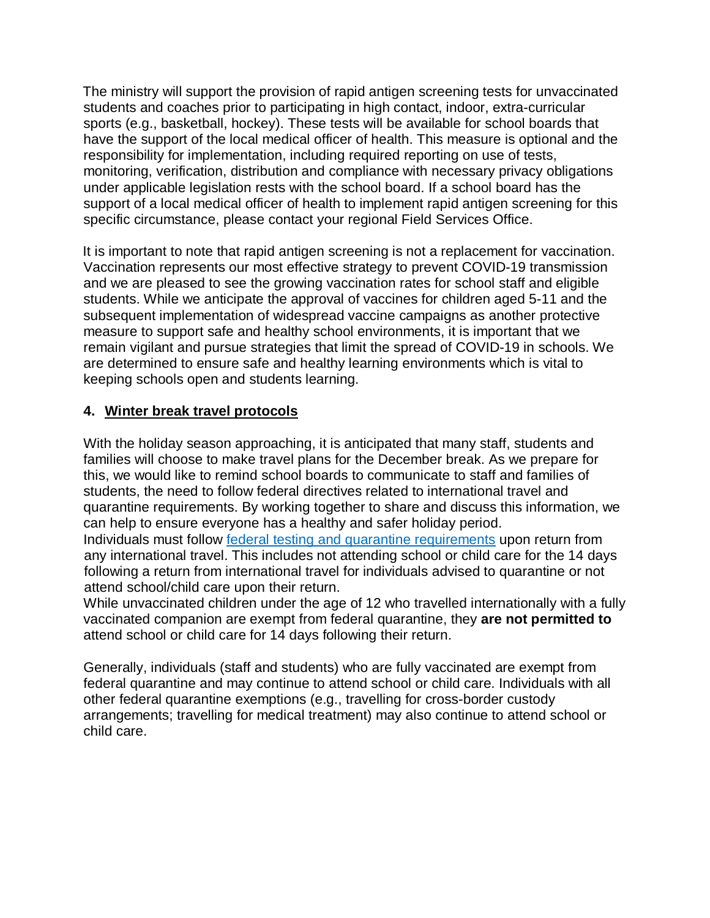The ministry will support the provision of rapid antigen screening tests for unvaccinated students and coaches prior to participating in high contact, indoor, extra-curricular sports (e.g., basketball, hockey). These tests will be available for school boards that have the support of the local medical officer of health. This measure is optional and the responsibility for implementation, including required reporting on use of tests, monitoring, verification, distribution and compliance with necessary privacy obligations under applicable legislation rests with the school board. If a school board has the support of a local medical officer of health to implement rapid antigen screening for this specific circumstance, please contact your regional Field Services Office.

It is important to note that rapid antigen screening is not a replacement for vaccination. Vaccination represents our most effective strategy to prevent COVID-19 transmission and we are pleased to see the growing vaccination rates for school staff and eligible students. While we anticipate the approval of vaccines for children aged 5-11 and the subsequent implementation of widespread vaccine campaigns as another protective measure to support safe and healthy school environments, it is important that we remain vigilant and pursue strategies that limit the spread of COVID-19 in schools. We are determined to ensure safe and healthy learning environments which is vital to keeping schools open and students learning.

#### **4. Winter break travel protocols**

With the holiday season approaching, it is anticipated that many staff, students and families will choose to make travel plans for the December break. As we prepare for this, we would like to remind school boards to communicate to staff and families of students, the need to follow federal directives related to international travel and quarantine requirements. By working together to share and discuss this information, we can help to ensure everyone has a healthy and safer holiday period. Individuals must follow [federal testing and quarantine requirements](https://travel.gc.ca/travel-covid) upon return from any international travel. This includes not attending school or child care for the 14 days following a return from international travel for individuals advised to quarantine or not attend school/child care upon their return.

While unvaccinated children under the age of 12 who travelled internationally with a fully vaccinated companion are exempt from federal quarantine, they **are not permitted to** attend school or child care for 14 days following their return.

Generally, individuals (staff and students) who are fully vaccinated are exempt from federal quarantine and may continue to attend school or child care. Individuals with all other federal quarantine exemptions (e.g., travelling for cross-border custody arrangements; travelling for medical treatment) may also continue to attend school or child care.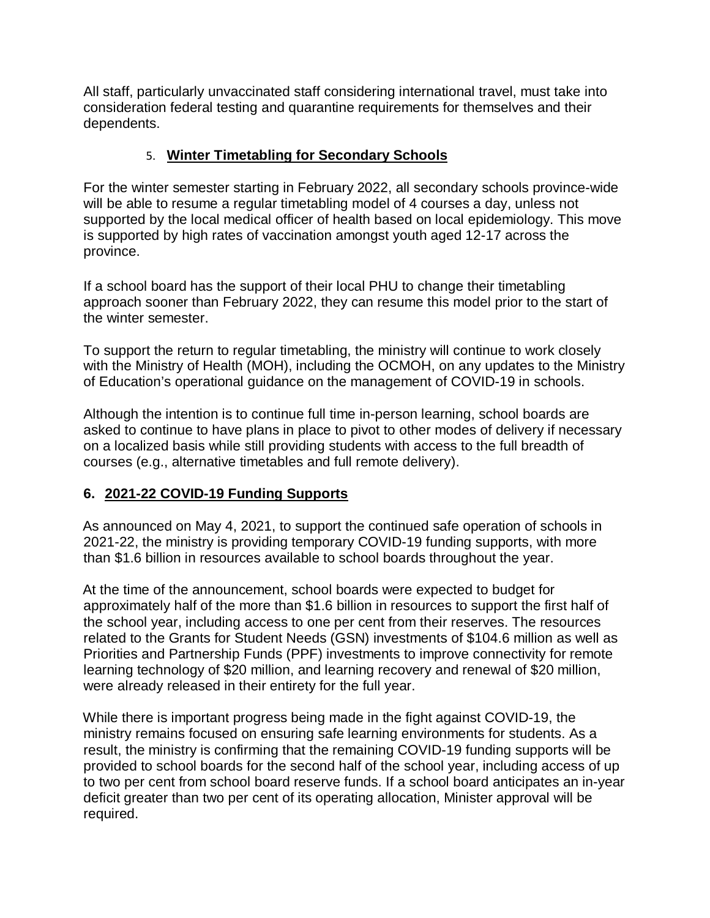All staff, particularly unvaccinated staff considering international travel, must take into consideration federal testing and quarantine requirements for themselves and their dependents.

## 5. **Winter Timetabling for Secondary Schools**

For the winter semester starting in February 2022, all secondary schools province-wide will be able to resume a regular timetabling model of 4 courses a day, unless not supported by the local medical officer of health based on local epidemiology. This move is supported by high rates of vaccination amongst youth aged 12-17 across the province.

If a school board has the support of their local PHU to change their timetabling approach sooner than February 2022, they can resume this model prior to the start of the winter semester.

To support the return to regular timetabling, the ministry will continue to work closely with the Ministry of Health (MOH), including the OCMOH, on any updates to the Ministry of Education's operational guidance on the management of COVID-19 in schools.

Although the intention is to continue full time in-person learning, school boards are asked to continue to have plans in place to pivot to other modes of delivery if necessary on a localized basis while still providing students with access to the full breadth of courses (e.g., alternative timetables and full remote delivery).

# **6. 2021-22 COVID-19 Funding Supports**

As announced on May 4, 2021, to support the continued safe operation of schools in 2021-22, the ministry is providing temporary COVID-19 funding supports, with more than \$1.6 billion in resources available to school boards throughout the year.

At the time of the announcement, school boards were expected to budget for approximately half of the more than \$1.6 billion in resources to support the first half of the school year, including access to one per cent from their reserves. The resources related to the Grants for Student Needs (GSN) investments of \$104.6 million as well as Priorities and Partnership Funds (PPF) investments to improve connectivity for remote learning technology of \$20 million, and learning recovery and renewal of \$20 million, were already released in their entirety for the full year.

While there is important progress being made in the fight against COVID-19, the ministry remains focused on ensuring safe learning environments for students. As a result, the ministry is confirming that the remaining COVID-19 funding supports will be provided to school boards for the second half of the school year, including access of up to two per cent from school board reserve funds. If a school board anticipates an in-year deficit greater than two per cent of its operating allocation, Minister approval will be required.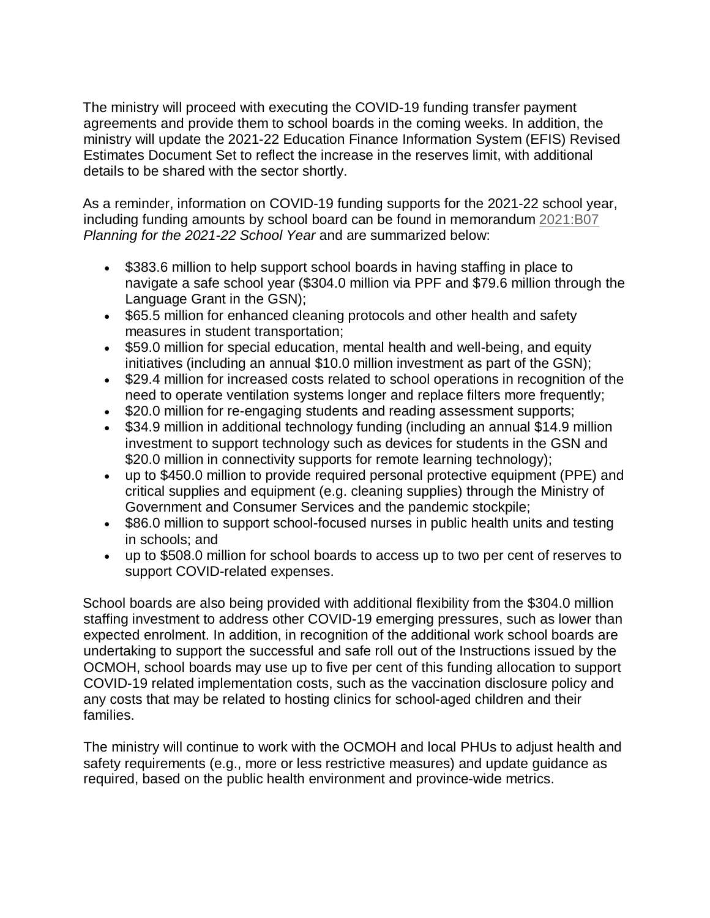The ministry will proceed with executing the COVID-19 funding transfer payment agreements and provide them to school boards in the coming weeks. In addition, the ministry will update the 2021-22 Education Finance Information System (EFIS) Revised Estimates Document Set to reflect the increase in the reserves limit, with additional details to be shared with the sector shortly.

As a reminder, information on COVID-19 funding supports for the 2021-22 school year, including funding amounts by school board can be found in memorandum [2021:B07](https://efis.fma.csc.gov.on.ca/faab/Memos/B2021/B07_EN.pdf) *Planning for the 2021-22 School Year* and are summarized below:

- \$383.6 million to help support school boards in having staffing in place to navigate a safe school year (\$304.0 million via PPF and \$79.6 million through the Language Grant in the GSN);
- \$65.5 million for enhanced cleaning protocols and other health and safety measures in student transportation;
- \$59.0 million for special education, mental health and well-being, and equity initiatives (including an annual \$10.0 million investment as part of the GSN);
- \$29.4 million for increased costs related to school operations in recognition of the need to operate ventilation systems longer and replace filters more frequently;
- \$20.0 million for re-engaging students and reading assessment supports;
- \$34.9 million in additional technology funding (including an annual \$14.9 million investment to support technology such as devices for students in the GSN and \$20.0 million in connectivity supports for remote learning technology);
- up to \$450.0 million to provide required personal protective equipment (PPE) and critical supplies and equipment (e.g. cleaning supplies) through the Ministry of Government and Consumer Services and the pandemic stockpile;
- \$86.0 million to support school-focused nurses in public health units and testing in schools; and
- up to \$508.0 million for school boards to access up to two per cent of reserves to support COVID-related expenses.

School boards are also being provided with additional flexibility from the \$304.0 million staffing investment to address other COVID-19 emerging pressures, such as lower than expected enrolment. In addition, in recognition of the additional work school boards are undertaking to support the successful and safe roll out of the Instructions issued by the OCMOH, school boards may use up to five per cent of this funding allocation to support COVID-19 related implementation costs, such as the vaccination disclosure policy and any costs that may be related to hosting clinics for school-aged children and their families.

The ministry will continue to work with the OCMOH and local PHUs to adjust health and safety requirements (e.g., more or less restrictive measures) and update guidance as required, based on the public health environment and province-wide metrics.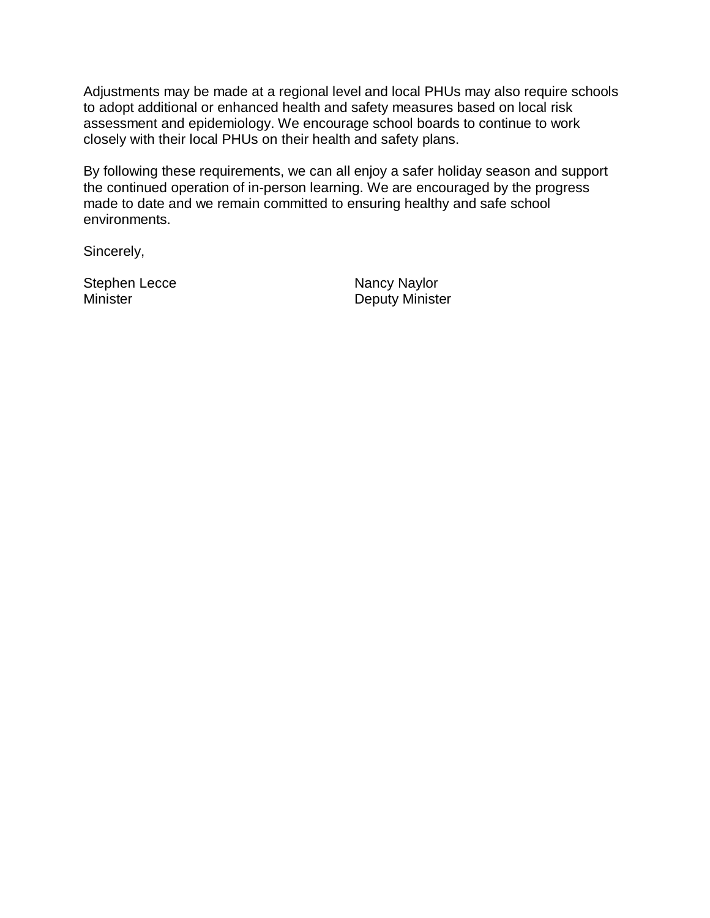Adjustments may be made at a regional level and local PHUs may also require schools to adopt additional or enhanced health and safety measures based on local risk assessment and epidemiology. We encourage school boards to continue to work closely with their local PHUs on their health and safety plans.

By following these requirements, we can all enjoy a safer holiday season and support the continued operation of in-person learning. We are encouraged by the progress made to date and we remain committed to ensuring healthy and safe school environments.

Sincerely,

Stephen Lecce Nancy Naylor

Minister **Deputy Minister**